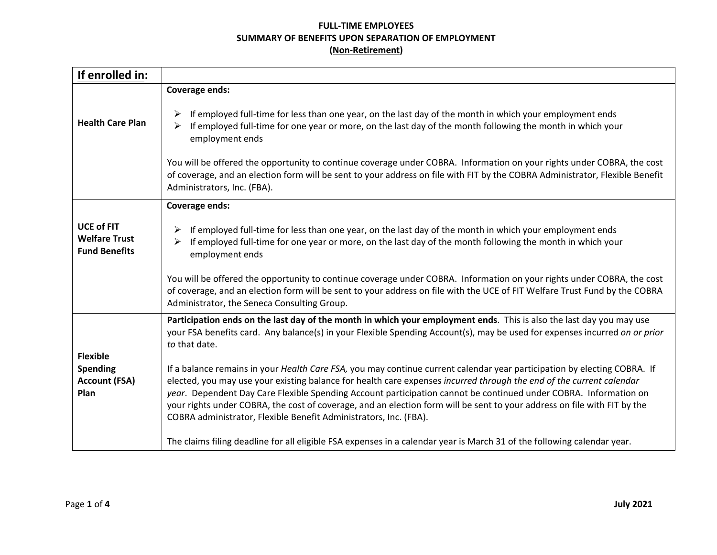## **FULL-TIME EMPLOYEES SUMMARY OF BENEFITS UPON SEPARATION OF EMPLOYMENT (Non-Retirement)**

| If enrolled in:                                                   |                                                                                                                                                                                                                                                                                                                                                                                                                                                                                                                                                                       |
|-------------------------------------------------------------------|-----------------------------------------------------------------------------------------------------------------------------------------------------------------------------------------------------------------------------------------------------------------------------------------------------------------------------------------------------------------------------------------------------------------------------------------------------------------------------------------------------------------------------------------------------------------------|
|                                                                   | <b>Coverage ends:</b>                                                                                                                                                                                                                                                                                                                                                                                                                                                                                                                                                 |
| <b>Health Care Plan</b>                                           | If employed full-time for less than one year, on the last day of the month in which your employment ends<br>If employed full-time for one year or more, on the last day of the month following the month in which your<br>$\blacktriangleright$<br>employment ends                                                                                                                                                                                                                                                                                                    |
|                                                                   | You will be offered the opportunity to continue coverage under COBRA. Information on your rights under COBRA, the cost<br>of coverage, and an election form will be sent to your address on file with FIT by the COBRA Administrator, Flexible Benefit<br>Administrators, Inc. (FBA).                                                                                                                                                                                                                                                                                 |
|                                                                   | <b>Coverage ends:</b>                                                                                                                                                                                                                                                                                                                                                                                                                                                                                                                                                 |
| <b>UCE of FIT</b><br><b>Welfare Trust</b><br><b>Fund Benefits</b> | If employed full-time for less than one year, on the last day of the month in which your employment ends<br>If employed full-time for one year or more, on the last day of the month following the month in which your<br>employment ends                                                                                                                                                                                                                                                                                                                             |
|                                                                   | You will be offered the opportunity to continue coverage under COBRA. Information on your rights under COBRA, the cost<br>of coverage, and an election form will be sent to your address on file with the UCE of FIT Welfare Trust Fund by the COBRA<br>Administrator, the Seneca Consulting Group.                                                                                                                                                                                                                                                                   |
| <b>Flexible</b>                                                   | Participation ends on the last day of the month in which your employment ends. This is also the last day you may use<br>your FSA benefits card. Any balance(s) in your Flexible Spending Account(s), may be used for expenses incurred on or prior<br>to that date.                                                                                                                                                                                                                                                                                                   |
| <b>Spending</b><br><b>Account (FSA)</b><br>Plan                   | If a balance remains in your Health Care FSA, you may continue current calendar year participation by electing COBRA. If<br>elected, you may use your existing balance for health care expenses incurred through the end of the current calendar<br>year. Dependent Day Care Flexible Spending Account participation cannot be continued under COBRA. Information on<br>your rights under COBRA, the cost of coverage, and an election form will be sent to your address on file with FIT by the<br>COBRA administrator, Flexible Benefit Administrators, Inc. (FBA). |
|                                                                   | The claims filing deadline for all eligible FSA expenses in a calendar year is March 31 of the following calendar year.                                                                                                                                                                                                                                                                                                                                                                                                                                               |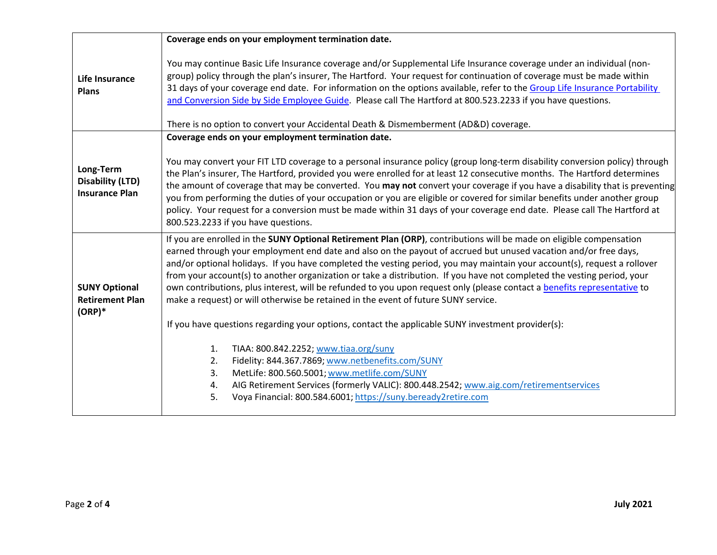| Coverage ends on your employment termination date.                                                                                                                                                                                                                                                                                                                                                                                                                                                                                                                                                                                                                                                              |
|-----------------------------------------------------------------------------------------------------------------------------------------------------------------------------------------------------------------------------------------------------------------------------------------------------------------------------------------------------------------------------------------------------------------------------------------------------------------------------------------------------------------------------------------------------------------------------------------------------------------------------------------------------------------------------------------------------------------|
| You may continue Basic Life Insurance coverage and/or Supplemental Life Insurance coverage under an individual (non-<br>group) policy through the plan's insurer, The Hartford. Your request for continuation of coverage must be made within<br>31 days of your coverage end date. For information on the options available, refer to the Group Life Insurance Portability<br>and Conversion Side by Side Employee Guide. Please call The Hartford at 800.523.2233 if you have questions.<br>There is no option to convert your Accidental Death & Dismemberment (AD&D) coverage.                                                                                                                              |
| Coverage ends on your employment termination date.                                                                                                                                                                                                                                                                                                                                                                                                                                                                                                                                                                                                                                                              |
| You may convert your FIT LTD coverage to a personal insurance policy (group long-term disability conversion policy) through<br>the Plan's insurer, The Hartford, provided you were enrolled for at least 12 consecutive months. The Hartford determines<br>the amount of coverage that may be converted. You may not convert your coverage if you have a disability that is preventing<br>you from performing the duties of your occupation or you are eligible or covered for similar benefits under another group<br>policy. Your request for a conversion must be made within 31 days of your coverage end date. Please call The Hartford at<br>800.523.2233 if you have questions.                          |
| If you are enrolled in the SUNY Optional Retirement Plan (ORP), contributions will be made on eligible compensation<br>earned through your employment end date and also on the payout of accrued but unused vacation and/or free days,<br>and/or optional holidays. If you have completed the vesting period, you may maintain your account(s), request a rollover<br>from your account(s) to another organization or take a distribution. If you have not completed the vesting period, your<br>own contributions, plus interest, will be refunded to you upon request only (please contact a benefits representative to<br>make a request) or will otherwise be retained in the event of future SUNY service. |
| If you have questions regarding your options, contact the applicable SUNY investment provider(s):<br>TIAA: 800.842.2252; www.tiaa.org/suny<br>1.<br>Fidelity: 844.367.7869; www.netbenefits.com/SUNY<br>2.<br>MetLife: 800.560.5001; www.metlife.com/SUNY<br>3.<br>AIG Retirement Services (formerly VALIC): 800.448.2542; www.aig.com/retirementservices<br>4.<br>5.<br>Voya Financial: 800.584.6001; https://suny.beready2retire.com                                                                                                                                                                                                                                                                          |
|                                                                                                                                                                                                                                                                                                                                                                                                                                                                                                                                                                                                                                                                                                                 |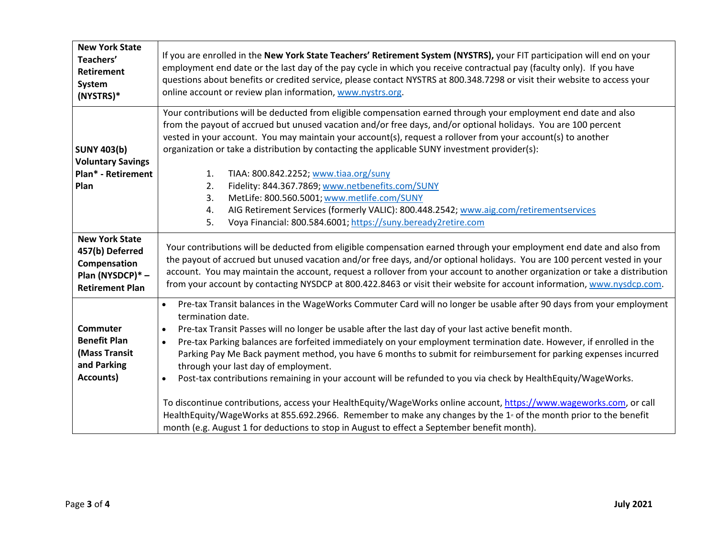| <b>New York State</b><br>Teachers'<br><b>Retirement</b><br>System<br>(NYSTRS)*                         | If you are enrolled in the New York State Teachers' Retirement System (NYSTRS), your FIT participation will end on your<br>employment end date or the last day of the pay cycle in which you receive contractual pay (faculty only). If you have<br>questions about benefits or credited service, please contact NYSTRS at 800.348.7298 or visit their website to access your<br>online account or review plan information, www.nystrs.org.                                                              |
|--------------------------------------------------------------------------------------------------------|----------------------------------------------------------------------------------------------------------------------------------------------------------------------------------------------------------------------------------------------------------------------------------------------------------------------------------------------------------------------------------------------------------------------------------------------------------------------------------------------------------|
|                                                                                                        | Your contributions will be deducted from eligible compensation earned through your employment end date and also<br>from the payout of accrued but unused vacation and/or free days, and/or optional holidays. You are 100 percent                                                                                                                                                                                                                                                                        |
|                                                                                                        | vested in your account. You may maintain your account(s), request a rollover from your account(s) to another                                                                                                                                                                                                                                                                                                                                                                                             |
| <b>SUNY 403(b)</b>                                                                                     | organization or take a distribution by contacting the applicable SUNY investment provider(s):                                                                                                                                                                                                                                                                                                                                                                                                            |
| <b>Voluntary Savings</b>                                                                               |                                                                                                                                                                                                                                                                                                                                                                                                                                                                                                          |
| Plan* - Retirement                                                                                     | TIAA: 800.842.2252; www.tiaa.org/suny<br>1.                                                                                                                                                                                                                                                                                                                                                                                                                                                              |
| Plan                                                                                                   | Fidelity: 844.367.7869; www.netbenefits.com/SUNY<br>2.                                                                                                                                                                                                                                                                                                                                                                                                                                                   |
|                                                                                                        | MetLife: 800.560.5001; www.metlife.com/SUNY<br>3.                                                                                                                                                                                                                                                                                                                                                                                                                                                        |
|                                                                                                        | AIG Retirement Services (formerly VALIC): 800.448.2542; www.aig.com/retirementservices<br>4.                                                                                                                                                                                                                                                                                                                                                                                                             |
|                                                                                                        | Voya Financial: 800.584.6001; https://suny.beready2retire.com<br>5.                                                                                                                                                                                                                                                                                                                                                                                                                                      |
| <b>New York State</b><br>457(b) Deferred<br>Compensation<br>Plan (NYSDCP)* -<br><b>Retirement Plan</b> | Your contributions will be deducted from eligible compensation earned through your employment end date and also from<br>the payout of accrued but unused vacation and/or free days, and/or optional holidays. You are 100 percent vested in your<br>account. You may maintain the account, request a rollover from your account to another organization or take a distribution<br>from your account by contacting NYSDCP at 800.422.8463 or visit their website for account information, www.nysdcp.com. |
|                                                                                                        | Pre-tax Transit balances in the WageWorks Commuter Card will no longer be usable after 90 days from your employment<br>$\bullet$<br>termination date.                                                                                                                                                                                                                                                                                                                                                    |
| <b>Commuter</b>                                                                                        | Pre-tax Transit Passes will no longer be usable after the last day of your last active benefit month.<br>$\bullet$                                                                                                                                                                                                                                                                                                                                                                                       |
| <b>Benefit Plan</b>                                                                                    | Pre-tax Parking balances are forfeited immediately on your employment termination date. However, if enrolled in the<br>$\bullet$                                                                                                                                                                                                                                                                                                                                                                         |
| (Mass Transit                                                                                          | Parking Pay Me Back payment method, you have 6 months to submit for reimbursement for parking expenses incurred                                                                                                                                                                                                                                                                                                                                                                                          |
| and Parking                                                                                            | through your last day of employment.                                                                                                                                                                                                                                                                                                                                                                                                                                                                     |
| Accounts)                                                                                              | Post-tax contributions remaining in your account will be refunded to you via check by HealthEquity/WageWorks.<br>$\bullet$                                                                                                                                                                                                                                                                                                                                                                               |
|                                                                                                        | To discontinue contributions, access your HealthEquity/WageWorks online account, https://www.wageworks.com, or call<br>HealthEquity/WageWorks at 855.692.2966. Remember to make any changes by the 1 <sup>ª</sup> of the month prior to the benefit<br>month (e.g. August 1 for deductions to stop in August to effect a September benefit month).                                                                                                                                                       |